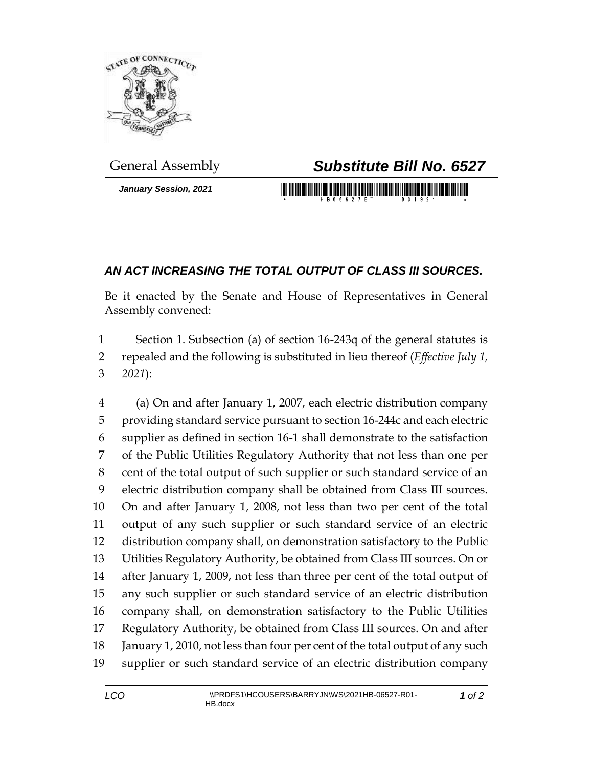

*January Session, 2021*

## General Assembly *Substitute Bill No. 6527*

<u> 1999 - Johann Maria Maria Maria Maria Maria Maria Maria Maria Maria Maria Maria Maria Maria Maria Maria Mari</u>

## *AN ACT INCREASING THE TOTAL OUTPUT OF CLASS III SOURCES.*

Be it enacted by the Senate and House of Representatives in General Assembly convened:

 Section 1. Subsection (a) of section 16-243q of the general statutes is repealed and the following is substituted in lieu thereof (*Effective July 1, 2021*):

 (a) On and after January 1, 2007, each electric distribution company providing standard service pursuant to section 16-244c and each electric supplier as defined in section 16-1 shall demonstrate to the satisfaction of the Public Utilities Regulatory Authority that not less than one per cent of the total output of such supplier or such standard service of an electric distribution company shall be obtained from Class III sources. On and after January 1, 2008, not less than two per cent of the total output of any such supplier or such standard service of an electric distribution company shall, on demonstration satisfactory to the Public Utilities Regulatory Authority, be obtained from Class III sources. On or after January 1, 2009, not less than three per cent of the total output of any such supplier or such standard service of an electric distribution company shall, on demonstration satisfactory to the Public Utilities Regulatory Authority, be obtained from Class III sources. On and after January 1, 2010, not less than four per cent of the total output of any such supplier or such standard service of an electric distribution company